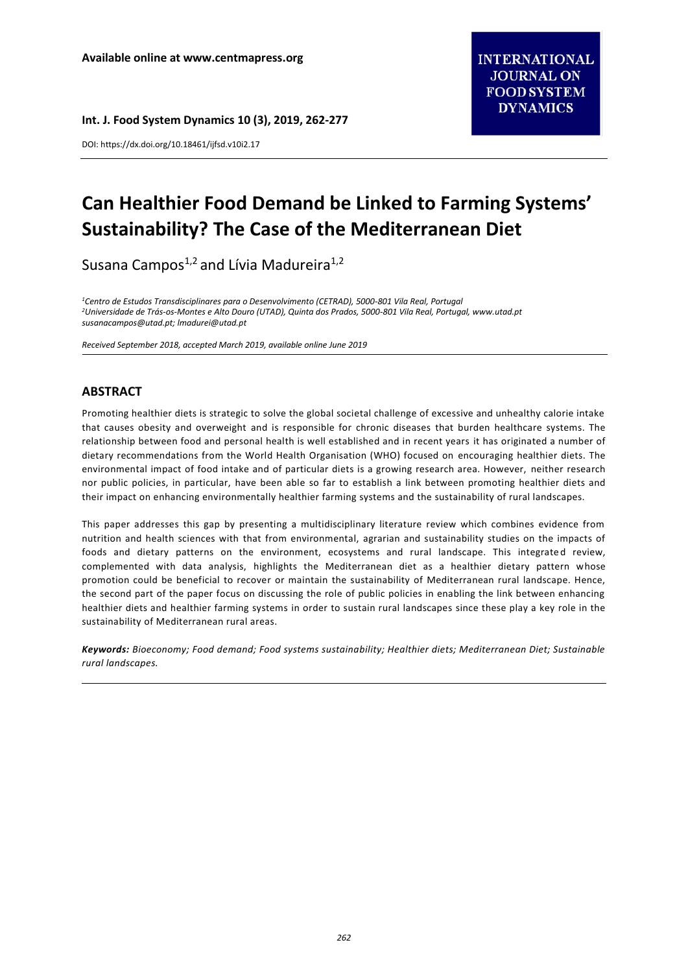**Int. J. Food System Dynamics 10 (3), 2019, 262-277**

DOI: https://dx.doi.org/10.18461/ijfsd.v10i2.17

# **Can Healthier Food Demand be Linked to Farming Systems' Sustainability? The Case of the Mediterranean Diet**

Susana Campos<sup>1,2</sup> and Lívia Madureira<sup>1,2</sup>

*<sup>1</sup>Centro de Estudos Transdisciplinares para o Desenvolvimento (CETRAD), 5000-801 Vila Real, Portugal <sup>2</sup>Universidade de Trás-os-Montes e Alto Douro (UTAD), Quinta dos Prados, 5000-801 Vila Real, Portugal[, www.utad.pt](http://www.utad.pt/) [susanacampos@utad.pt;](mailto:susanacampos@utad.pt) lmadurei@utad.pt*

*Received September 2018, accepted March 2019, available online June 2019*

# **ABSTRACT**

Promoting healthier diets is strategic to solve the global societal challenge of excessive and unhealthy calorie intake that causes obesity and overweight and is responsible for chronic diseases that burden healthcare systems. The relationship between food and personal health is well established and in recent years it has originated a number of dietary recommendations from the World Health Organisation (WHO) focused on encouraging healthier diets. The environmental impact of food intake and of particular diets is a growing research area. However, neither research nor public policies, in particular, have been able so far to establish a link between promoting healthier diets and their impact on enhancing environmentally healthier farming systems and the sustainability of rural landscapes.

This paper addresses this gap by presenting a multidisciplinary literature review which combines evidence from nutrition and health sciences with that from environmental, agrarian and sustainability studies on the impacts of foods and dietary patterns on the environment, ecosystems and rural landscape. This integrated review, complemented with data analysis, highlights the Mediterranean diet as a healthier dietary pattern whose promotion could be beneficial to recover or maintain the sustainability of Mediterranean rural landscape. Hence, the second part of the paper focus on discussing the role of public policies in enabling the link between enhancing healthier diets and healthier farming systems in order to sustain rural landscapes since these play a key role in the sustainability of Mediterranean rural areas.

*Keywords: Bioeconomy; Food demand; Food systems sustainability; Healthier diets; Mediterranean Diet; Sustainable rural landscapes.*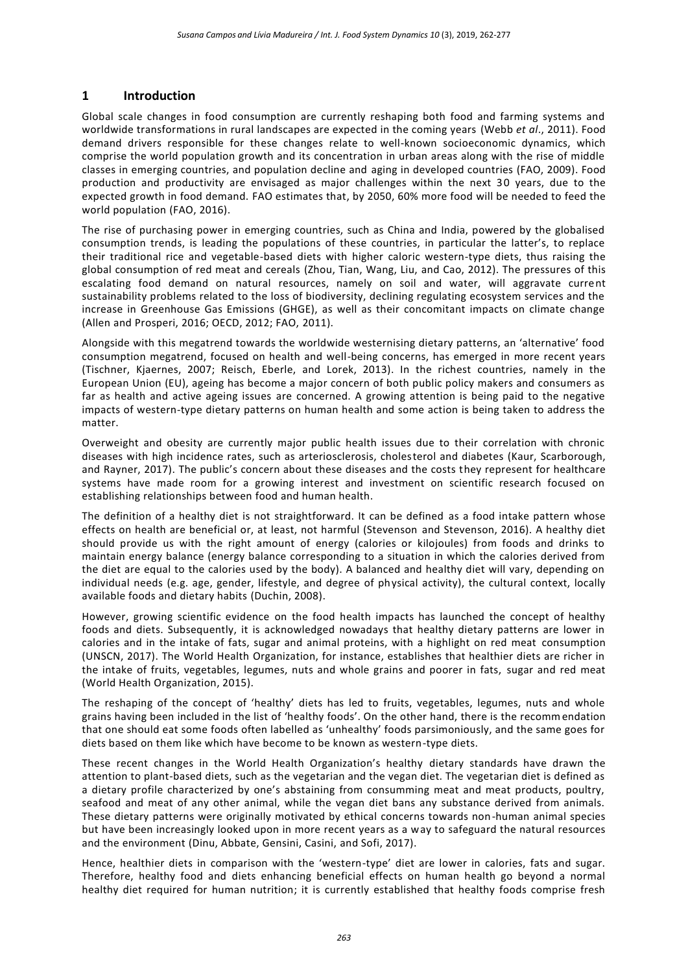# **1 Introduction**

Global scale changes in food consumption are currently reshaping both food and farming systems and worldwide transformations in rural landscapes are expected in the coming years (Webb *et al*., 2011). Food demand drivers responsible for these changes relate to well-known socioeconomic dynamics, which comprise the world population growth and its concentration in urban areas along with the rise of middle classes in emerging countries, and population decline and aging in developed countries (FAO, 2009). Food production and productivity are envisaged as major challenges within the next 30 years, due to the expected growth in food demand. FAO estimates that, by 2050, 60% more food will be needed to feed the world population (FAO, 2016).

The rise of purchasing power in emerging countries, such as China and India, powered by the globalised consumption trends, is leading the populations of these countries, in particular the latter's, to replace their traditional rice and vegetable-based diets with higher caloric western-type diets, thus raising the global consumption of red meat and cereals (Zhou, Tian, Wang, Liu, and Cao, 2012). The pressures of this escalating food demand on natural resources, namely on soil and water, will aggravate current sustainability problems related to the loss of biodiversity, declining regulating ecosystem services and the increase in Greenhouse Gas Emissions (GHGE), as well as their concomitant impacts on climate change (Allen and Prosperi, 2016; OECD, 2012; FAO, 2011).

Alongside with this megatrend towards the worldwide westernising dietary patterns, an 'alternative' food consumption megatrend, focused on health and well-being concerns, has emerged in more recent years (Tischner, Kjaernes, 2007; Reisch, Eberle, and Lorek, 2013). In the richest countries, namely in the European Union (EU), ageing has become a major concern of both public policy makers and consumers as far as health and active ageing issues are concerned. A growing attention is being paid to the negative impacts of western-type dietary patterns on human health and some action is being taken to address the matter.

Overweight and obesity are currently major public health issues due to their correlation with chronic diseases with high incidence rates, such as arteriosclerosis, cholesterol and diabetes (Kaur, Scarborough, and Rayner, 2017). The public's concern about these diseases and the costs they represent for healthcare systems have made room for a growing interest and investment on scientific research focused on establishing relationships between food and human health.

The definition of a healthy diet is not straightforward. It can be defined as a food intake pattern whose effects on health are beneficial or, at least, not harmful (Stevenson and Stevenson, 2016). A healthy diet should provide us with the right amount of energy (calories or kilojoules) from foods and drinks to maintain energy balance (energy balance corresponding to a situation in which the calories derived from the diet are equal to the calories used by the body). A balanced and healthy diet will vary, depending on individual needs (e.g. age, gender, lifestyle, and degree of physical activity), the cultural context, locally available foods and dietary habits (Duchin, 2008).

However, growing scientific evidence on the food health impacts has launched the concept of healthy foods and diets. Subsequently, it is acknowledged nowadays that healthy dietary patterns are lower in calories and in the intake of fats, sugar and animal proteins, with a highlight on red meat consumption (UNSCN, 2017). The World Health Organization, for instance, establishes that healthier diets are richer in the intake of fruits, vegetables, legumes, nuts and whole grains and poorer in fats, sugar and red meat (World Health Organization, 2015).

The reshaping of the concept of 'healthy' diets has led to fruits, vegetables, legumes, nuts and whole grains having been included in the list of 'healthy foods'. On the other hand, there is the recommendation that one should eat some foods often labelled as 'unhealthy' foods parsimoniously, and the same goes for diets based on them like which have become to be known as western-type diets.

These recent changes in the World Health Organization's healthy dietary standards have drawn the attention to plant-based diets, such as the vegetarian and the vegan diet. The vegetarian diet is defined as a dietary profile characterized by one's abstaining from consumming meat and meat products, poultry, seafood and meat of any other animal, while the vegan diet bans any substance derived from animals. These dietary patterns were originally motivated by ethical concerns towards non-human animal species but have been increasingly looked upon in more recent years as a way to safeguard the natural resources and the environment (Dinu, Abbate, Gensini, Casini, and Sofi, 2017).

Hence, healthier diets in comparison with the 'western-type' diet are lower in calories, fats and sugar. Therefore, healthy food and diets enhancing beneficial effects on human health go beyond a normal [healthy diet](https://en.wikipedia.org/wiki/Healthy_diet) required for [human nutrition;](https://en.wikipedia.org/wiki/Human_nutrition) it is currently established that healthy foods comprise fresh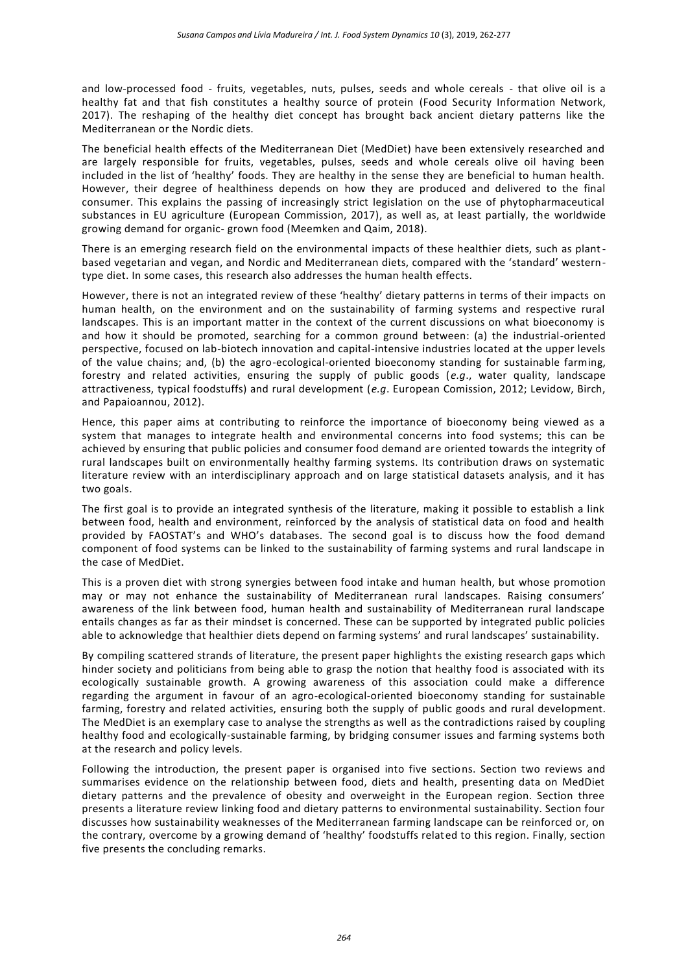and low-processed food - fruits, vegetables, nuts, pulses, seeds and whole cereals - that olive oil is a healthy fat and that fish constitutes a healthy source of protein (Food Security Information Network, 2017). The reshaping of the healthy diet concept has brought back ancient dietary patterns like the Mediterranean or the Nordic diets.

The beneficial health effects of the Mediterranean Diet (MedDiet) have been extensively researched and are largely responsible for fruits, vegetables, pulses, seeds and whole cereals olive oil having been included in the list of 'healthy' foods. They are healthy in the sense they are beneficial to human health. However, their degree of healthiness depends on how they are produced and delivered to the final consumer. This explains the passing of increasingly strict legislation on the use of phytopharmaceutical substances in EU agriculture (European Commission, 2017), as well as, at least partially, the worldwide growing demand for organic- grown food (Meemken and Qaim, 2018).

There is an emerging research field on the environmental impacts of these healthier diets, such as plantbased vegetarian and vegan, and Nordic and Mediterranean diets, compared with the 'standard' westerntype diet. In some cases, this research also addresses the human health effects.

However, there is not an integrated review of these 'healthy' dietary patterns in terms of their impacts on human health, on the environment and on the sustainability of farming systems and respective rural landscapes. This is an important matter in the context of the current discussions on what bioeconomy is and how it should be promoted, searching for a common ground between: (a) the industrial-oriented perspective, focused on lab-biotech innovation and capital-intensive industries located at the upper levels of the value chains; and, (b) the agro-ecological-oriented bioeconomy standing for sustainable farming, forestry and related activities, ensuring the supply of public goods (*e.g*., water quality, landscape attractiveness, typical foodstuffs) and rural development (*e.g*. European Comission, 2012; Levidow, Birch, and Papaioannou, 2012).

Hence, this paper aims at contributing to reinforce the importance of bioeconomy being viewed as a system that manages to integrate health and environmental concerns into food systems; this can be achieved by ensuring that public policies and consumer food demand are oriented towards the integrity of rural landscapes built on environmentally healthy farming systems. Its contribution draws on systematic literature review with an interdisciplinary approach and on large statistical datasets analysis, and it has two goals.

The first goal is to provide an integrated synthesis of the literature, making it possible to establish a link between food, health and environment, reinforced by the analysis of statistical data on food and health provided by FAOSTAT's and WHO's databases. The second goal is to discuss how the food demand component of food systems can be linked to the sustainability of farming systems and rural landscape in the case of MedDiet.

This is a proven diet with strong synergies between food intake and human health, but whose promotion may or may not enhance the sustainability of Mediterranean rural landscapes. Raising consumers' awareness of the link between food, human health and sustainability of Mediterranean rural landscape entails changes as far as their mindset is concerned. These can be supported by integrated public policies able to acknowledge that healthier diets depend on farming systems' and rural landscapes' sustainability.

By compiling scattered strands of literature, the present paper highlights the existing research gaps which hinder society and politicians from being able to grasp the notion that healthy food is associated with its ecologically sustainable growth. A growing awareness of this association could make a difference regarding the argument in favour of an agro-ecological-oriented bioeconomy standing for sustainable farming, forestry and related activities, ensuring both the supply of public goods and rural development. The MedDiet is an exemplary case to analyse the strengths as well as the contradictions raised by coupling healthy food and ecologically-sustainable farming, by bridging consumer issues and farming systems both at the research and policy levels.

Following the introduction, the present paper is organised into five sections. Section two reviews and summarises evidence on the relationship between food, diets and health, presenting data on MedDiet dietary patterns and the prevalence of obesity and overweight in the European region. Section three presents a literature review linking food and dietary patterns to environmental sustainability. Section four discusses how sustainability weaknesses of the Mediterranean farming landscape can be reinforced or, on the contrary, overcome by a growing demand of 'healthy' foodstuffs related to this region. Finally, section five presents the concluding remarks.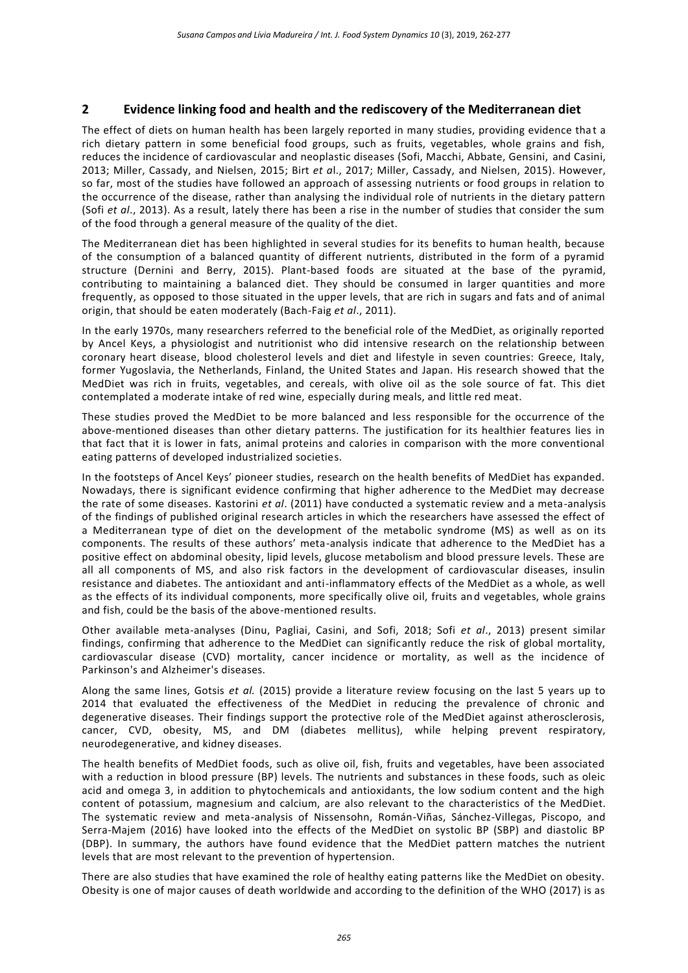# **2 Evidence linking food and health and the rediscovery of the Mediterranean diet**

The effect of diets on human health has been largely reported in many studies, providing evidence tha t a rich dietary pattern in some beneficial food groups, such as fruits, vegetables, whole grains and fish, reduces the incidence of cardiovascular and neoplastic diseases (Sofi, Macchi, Abbate, Gensini, and Casini, 2013; Miller, Cassady, and Nielsen, 2015; Birt *et a*l., 2017; Miller, Cassady, and Nielsen, 2015). However, so far, most of the studies have followed an approach of assessing nutrients or food groups in relation to the occurrence of the disease, rather than analysing the individual role of nutrients in the dietary pattern (Sofi *et al*., 2013). As a result, lately there has been a rise in the number of studies that consider the sum of the food through a general measure of the quality of the diet.

The Mediterranean diet has been highlighted in several studies for its benefits to human health, because of the consumption of a balanced quantity of different nutrients, distributed in the form of a pyramid structure (Dernini and Berry, 2015). Plant-based foods are situated at the base of the pyramid, contributing to maintaining a balanced diet. They should be consumed in larger quantities and more frequently, as opposed to those situated in the upper levels, that are rich in sugars and fats and of animal origin, that should be eaten moderately (Bach-Faig *et al*., 2011).

In the early 1970s, many researchers referred to the beneficial role of the MedDiet, as originally reported by Ancel Keys, a physiologist and nutritionist who did intensive research on the relationship between coronary heart disease, blood cholesterol levels and diet and lifestyle in seven countries: Greece, Italy, former Yugoslavia, the Netherlands, Finland, the United States and Japan. His research showed that the MedDiet was rich in fruits, vegetables, and cereals, with olive oil as the sole source of fat. This diet contemplated a moderate intake of red wine, especially during meals, and little red meat.

These studies proved the MedDiet to be more balanced and less responsible for the occurrence of the above-mentioned diseases than other dietary patterns. The justification for its healthier features lies in that fact that it is lower in fats, animal proteins and calories in comparison with the more conventional eating patterns of developed industrialized societies.

In the footsteps of Ancel Keys' pioneer studies, research on the health benefits of MedDiet has expanded. Nowadays, there is significant evidence confirming that higher adherence to the MedDiet may decrease the rate of some diseases. Kastorini *et al*. (2011) have conducted a systematic review and a meta-analysis of the findings of published original research articles in which the researchers have assessed the effect of a Mediterranean type of diet on the development of the metabolic syndrome (MS) as well as on its components. The results of these authors' meta-analysis indicate that adherence to the MedDiet has a positive effect on abdominal obesity, lipid levels, glucose metabolism and blood pressure levels. These are all all components of MS, and also risk factors in the development of cardiovascular diseases, insulin resistance and diabetes. The antioxidant and anti-inflammatory effects of the MedDiet as a whole, as well as the effects of its individual components, more specifically olive oil, fruits and vegetables, whole grains and fish, could be the basis of the above-mentioned results.

Other available meta-analyses (Dinu, Pagliai, Casini, and Sofi, 2018; Sofi *et al*., 2013) present similar findings, confirming that adherence to the MedDiet can significantly reduce the risk of global mortality, cardiovascular disease (CVD) mortality, cancer incidence or mortality, as well as the incidence of Parkinson's and Alzheimer's diseases.

Along the same lines, Gotsis *et al.* (2015) provide a literature review focusing on the last 5 years up to 2014 that evaluated the effectiveness of the MedDiet in reducing the prevalence of chronic and degenerative diseases. Their findings support the protective role of the MedDiet against atherosclerosis, cancer, CVD, obesity, MS, and DM (diabetes mellitus), while helping prevent respiratory, neurodegenerative, and kidney diseases.

The health benefits of MedDiet foods, such as olive oil, fish, fruits and vegetables, have been associated with a reduction in blood pressure (BP) levels. The nutrients and substances in these foods, such as oleic acid and omega 3, in addition to phytochemicals and antioxidants, the low sodium content and the high content of potassium, magnesium and calcium, are also relevant to the characteristics of the MedDiet. The systematic review and meta-analysis of Nissensohn, Román-Viñas, Sánchez-Villegas, Piscopo, and Serra-Majem (2016) have looked into the effects of the MedDiet on systolic BP (SBP) and diastolic BP (DBP). In summary, the authors have found evidence that the MedDiet pattern matches the nutrient levels that are most relevant to the prevention of hypertension.

There are also studies that have examined the role of healthy eating patterns like the MedDiet on obesity. Obesity is one of major causes of death worldwide and according to the definition of the WHO (2017) is as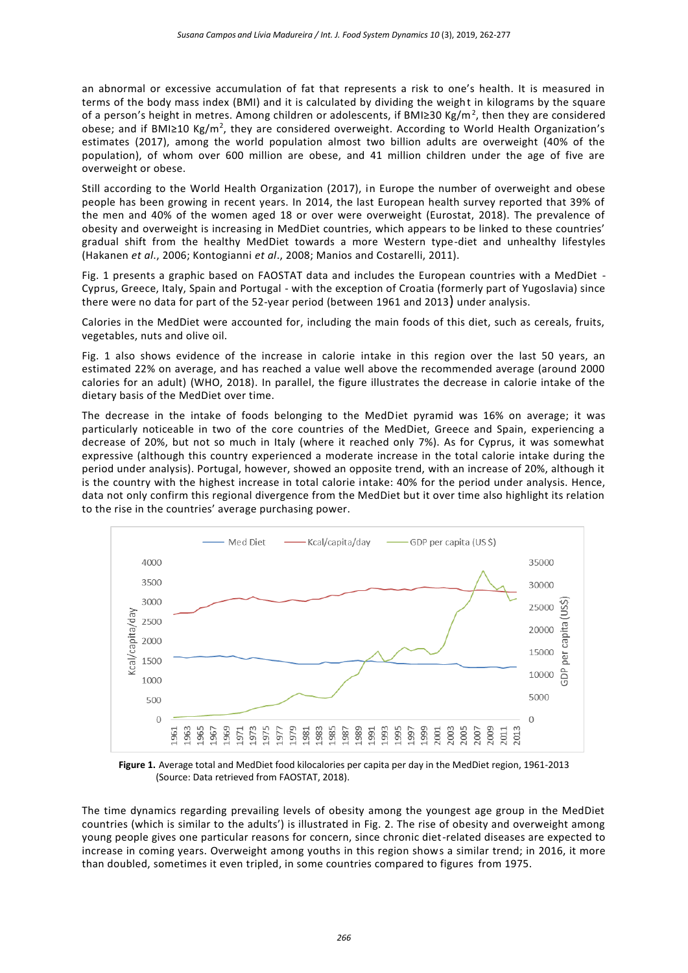an abnormal or excessive accumulation of fat that represents a risk to one's health. It is measured in terms of the body mass index (BMI) and it is calculated by dividing the weight in kilograms by the square of a person's height in metres. Among children or adolescents, if BMI≥30 Kg/m<sup>2</sup>, then they are considered obese; and if BMI≥10 Kg/m<sup>2</sup>, they are considered overweight. According to World Health Organization's estimates (2017), among the world population almost two billion adults are overweight (40% of the population), of whom over 600 million are obese, and 41 million children under the age of five are overweight or obese.

Still according to the World Health Organization (2017), in Europe the number of overweight and obese people has been growing in recent years. In 2014, the last European health survey reported that 39% of the men and 40% of the women aged 18 or over were overweight (Eurostat, 2018). The prevalence of obesity and overweight is increasing in MedDiet countries, which appears to be linked to these countries' gradual shift from the healthy MedDiet towards a more Western type-diet and unhealthy lifestyles (Hakanen *et al*., 2006; Kontogianni *et al*., 2008; Manios and Costarelli, 2011).

Fig. 1 presents a graphic based on FAOSTAT data and includes the European countries with a MedDiet - Cyprus, Greece, Italy, Spain and Portugal - with the exception of Croatia (formerly part of Yugoslavia) since there were no data for part of the 52-year period (between 1961 and 2013) under analysis.

Calories in the MedDiet were accounted for, including the main foods of this diet, such as cereals, fruits, vegetables, nuts and olive oil.

Fig. 1 also shows evidence of the increase in calorie intake in this region over the last 50 years, an estimated 22% on average, and has reached a value well above the recommended average (around 2000 calories for an adult) (WHO, 2018). In parallel, the figure illustrates the decrease in calorie intake of the dietary basis of the MedDiet over time.

The decrease in the intake of foods belonging to the MedDiet pyramid was 16% on average; it was particularly noticeable in two of the core countries of the MedDiet, Greece and Spain, experiencing a decrease of 20%, but not so much in Italy (where it reached only 7%). As for Cyprus, it was somewhat expressive (although this country experienced a moderate increase in the total calorie intake during the period under analysis). Portugal, however, showed an opposite trend, with an increase of 20%, although it is the country with the highest increase in total calorie intake: 40% for the period under analysis. Hence, data not only confirm this regional divergence from the MedDiet but it over time also highlight its relation to the rise in the countries' average purchasing power.



**Figure 1.** Average total and MedDiet food kilocalories per capita per day in the MedDiet region, 1961-2013 (Source: Data retrieved from FAOSTAT, 2018).

The time dynamics regarding prevailing levels of obesity among the youngest age group in the MedDiet countries (which is similar to the adults') is illustrated in Fig. 2. The rise of obesity and overweight among young people gives one particular reasons for concern, since chronic diet-related diseases are expected to increase in coming years. Overweight among youths in this region shows a similar trend; in 2016, it more than doubled, sometimes it even tripled, in some countries compared to figures from 1975.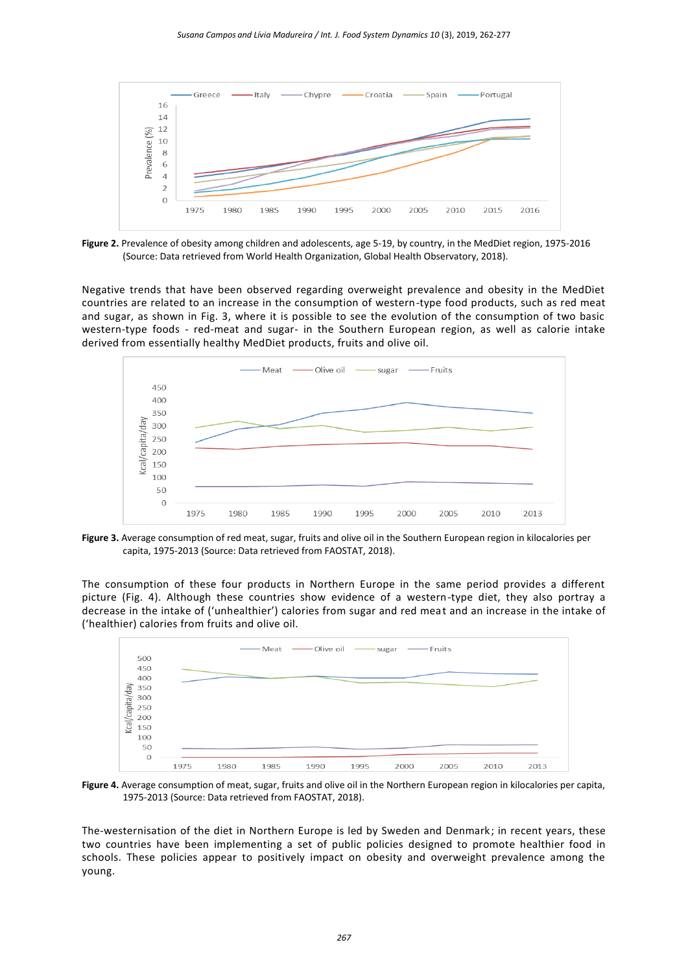

**Figure 2.** Prevalence of obesity among children and adolescents, age 5-19, by country, in the MedDiet region, 1975-2016 (Source: Data retrieved from World Health Organization, Global Health Observatory, 2018).

Negative trends that have been observed regarding overweight prevalence and obesity in the MedDiet countries are related to an increase in the consumption of western-type food products, such as red meat and sugar, as shown in Fig. 3, where it is possible to see the evolution of the consumption of two basic western-type foods - red-meat and sugar- in the Southern European region, as well as calorie intake derived from essentially healthy MedDiet products, fruits and olive oil.



**Figure 3.** Average consumption of red meat, sugar, fruits and olive oil in the Southern European region in kilocalories per capita, 1975-2013 (Source: Data retrieved from FAOSTAT, 2018).

The consumption of these four products in Northern Europe in the same period provides a different picture (Fig. 4). Although these countries show evidence of a western-type diet, they also portray a decrease in the intake of ('unhealthier') calories from sugar and red meat and an increase in the intake of ('healthier) calories from fruits and olive oil.



**Figure 4.** Average consumption of meat, sugar, fruits and olive oil in the Northern European region in kilocalories per capita, 1975-2013 (Source: Data retrieved from FAOSTAT, 2018).

The-westernisation of the diet in Northern Europe is led by Sweden and Denmark; in recent years, these two countries have been implementing a set of public policies designed to promote healthier food in schools. These policies appear to positively impact on obesity and overweight prevalence among the young.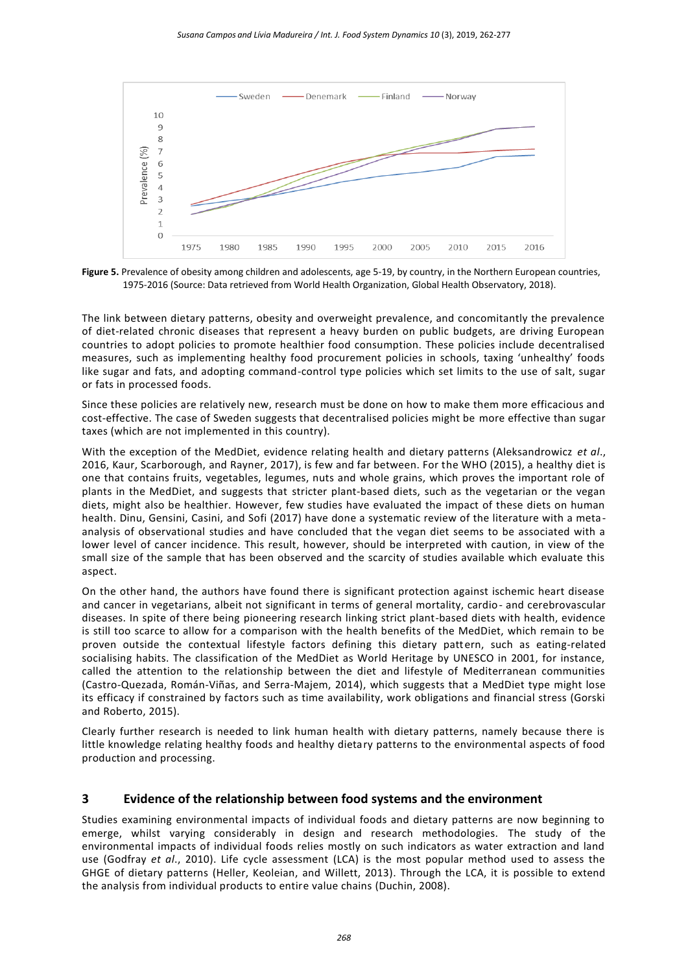

**Figure 5.** Prevalence of obesity among children and adolescents, age 5-19, by country, in the Northern European countries, 1975-2016 (Source: Data retrieved from World Health Organization, Global Health Observatory, 2018).

The link between dietary patterns, obesity and overweight prevalence, and concomitantly the prevalence of diet-related chronic diseases that represent a heavy burden on public budgets, are driving European countries to adopt policies to promote healthier food consumption. These policies include decentralised measures, such as implementing healthy food procurement policies in schools, taxing 'unhealthy' foods like sugar and fats, and adopting command-control type policies which set limits to the use of salt, sugar or fats in processed foods.

Since these policies are relatively new, research must be done on how to make them more efficacious and cost-effective. The case of Sweden suggests that decentralised policies might be more effective than sugar taxes (which are not implemented in this country).

With the exception of the MedDiet, evidence relating health and dietary patterns (Aleksandrowicz *et al*., 2016, Kaur, Scarborough, and Rayner, 2017), is few and far between. For the WHO (2015), a healthy diet is one that contains fruits, vegetables, legumes, nuts and whole grains, which proves the important role of plants in the MedDiet, and suggests that stricter plant-based diets, such as the vegetarian or the vegan diets, might also be healthier. However, few studies have evaluated the impact of these diets on human health. Dinu, Gensini, Casini, and Sofi (2017) have done a systematic review of the literature with a metaanalysis of observational studies and have concluded that the vegan diet seems to be associated with a lower level of cancer incidence. This result, however, should be interpreted with caution, in view of the small size of the sample that has been observed and the scarcity of studies available which evaluate this aspect.

On the other hand, the authors have found there is significant protection against ischemic heart disease and cancer in vegetarians, albeit not significant in terms of general mortality, cardio- and cerebrovascular diseases. In spite of there being pioneering research linking strict plant-based diets with health, evidence is still too scarce to allow for a comparison with the health benefits of the MedDiet, which remain to be proven outside the contextual lifestyle factors defining this dietary pattern, such as eating-related socialising habits. The classification of the MedDiet as World Heritage by UNESCO in 2001, for instance, called the attention to the relationship between the diet and lifestyle of Mediterranean communities (Castro-Quezada, Román-Viñas, and Serra-Majem, 2014), which suggests that a MedDiet type might lose its efficacy if constrained by factors such as time availability, work obligations and financial stress (Gorski and Roberto, 2015).

Clearly further research is needed to link human health with dietary patterns, namely because there is little knowledge relating healthy foods and healthy dietary patterns to the environmental aspects of food production and processing.

## **3 Evidence of the relationship between food systems and the environment**

Studies examining environmental impacts of individual foods and dietary patterns are now beginning to emerge, whilst varying considerably in design and research methodologies. The study of the environmental impacts of individual foods relies mostly on such indicators as water extraction and land use (Godfray *et al*., 2010). Life cycle assessment (LCA) is the most popular method used to assess the GHGE of dietary patterns (Heller, Keoleian, and Willett, 2013). Through the LCA, it is possible to extend the analysis from individual products to entire value chains (Duchin, 2008).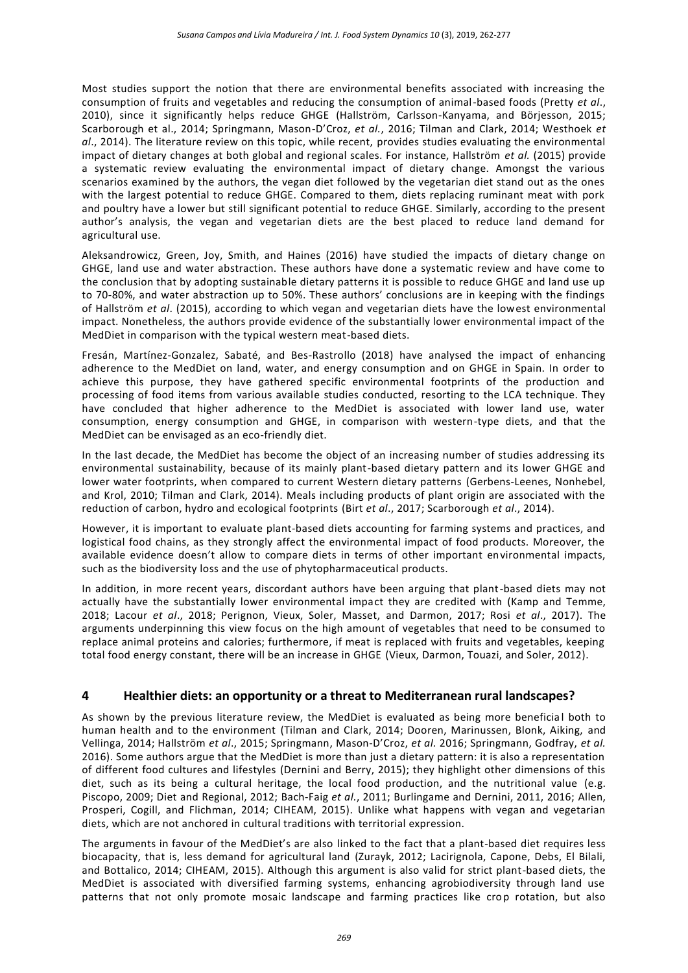Most studies support the notion that there are environmental benefits associated with increasing the consumption of fruits and vegetables and reducing the consumption of animal-based foods (Pretty *et al*., 2010), since it significantly helps reduce GHGE (Hallström, Carlsson-Kanyama, and Börjesson, 2015; Scarborough et al., 2014; Springmann, Mason-D'Croz, *et al.*, 2016; Tilman and Clark, 2014; Westhoek *et al*., 2014). The literature review on this topic, while recent, provides studies evaluating the environmental impact of dietary changes at both global and regional scales. For instance, Hallström *et al.* (2015) provide a systematic review evaluating the environmental impact of dietary change. Amongst the various scenarios examined by the authors, the vegan diet followed by the vegetarian diet stand out as the ones with the largest potential to reduce GHGE. Compared to them, diets replacing ruminant meat with pork and poultry have a lower but still significant potential to reduce GHGE. Similarly, according to the present author's analysis, the vegan and vegetarian diets are the best placed to reduce land demand for agricultural use.

Aleksandrowicz, Green, Joy, Smith, and Haines (2016) have studied the impacts of dietary change on GHGE, land use and water abstraction. These authors have done a systematic review and have come to the conclusion that by adopting sustainable dietary patterns it is possible to reduce GHGE and land use up to 70-80%, and water abstraction up to 50%. These authors' conclusions are in keeping with the findings of Hallström *et al*. (2015), according to which vegan and vegetarian diets have the lowest environmental impact. Nonetheless, the authors provide evidence of the substantially lower environmental impact of the MedDiet in comparison with the typical western meat-based diets.

Fresán, Martínez-Gonzalez, Sabaté, and Bes-Rastrollo (2018) have analysed the impact of enhancing adherence to the MedDiet on land, water, and energy consumption and on GHGE in Spain. In order to achieve this purpose, they have gathered specific environmental footprints of the production and processing of food items from various available studies conducted, resorting to the LCA technique. They have concluded that higher adherence to the MedDiet is associated with lower land use, water consumption, energy consumption and GHGE, in comparison with western-type diets, and that the MedDiet can be envisaged as an eco-friendly diet.

In the last decade, the MedDiet has become the object of an increasing number of studies addressing its environmental sustainability, because of its mainly plant-based dietary pattern and its lower GHGE and lower water footprints, when compared to current Western dietary patterns (Gerbens-Leenes, Nonhebel, and Krol, 2010; Tilman and Clark, 2014). Meals including products of plant origin are associated with the reduction of carbon, hydro and ecological footprints (Birt *et al*., 2017; Scarborough *et al*., 2014).

However, it is important to evaluate plant-based diets accounting for farming systems and practices, and logistical food chains, as they strongly affect the environmental impact of food products. Moreover, the available evidence doesn't allow to compare diets in terms of other important environmental impacts, such as the biodiversity loss and the use of phytopharmaceutical products.

In addition, in more recent years, discordant authors have been arguing that plant-based diets may not actually have the substantially lower environmental impact they are credited with (Kamp and Temme, 2018; Lacour *et al*., 2018; Perignon, Vieux, Soler, Masset, and Darmon, 2017; Rosi *et al*., 2017). The arguments underpinning this view focus on the high amount of vegetables that need to be consumed to replace animal proteins and calories; furthermore, if meat is replaced with fruits and vegetables, keeping total food energy constant, there will be an increase in GHGE (Vieux, Darmon, Touazi, and Soler, 2012).

# **4 Healthier diets: an opportunity or a threat to Mediterranean rural landscapes?**

As shown by the previous literature review, the MedDiet is evaluated as being more beneficia l both to human health and to the environment (Tilman and Clark, 2014; Dooren, Marinussen, Blonk, Aiking, and Vellinga, 2014; Hallström *et al*., 2015; Springmann, Mason-D'Croz, *et al.* 2016; Springmann, Godfray, *et al.* 2016). Some authors argue that the MedDiet is more than just a dietary pattern: it is also a representation of different food cultures and lifestyles (Dernini and Berry, 2015); they highlight other dimensions of this diet, such as its being a cultural heritage, the local food production, and the nutritional value (e.g. Piscopo, 2009; Diet and Regional, 2012; Bach-Faig *et al.*, 2011; Burlingame and Dernini, 2011, 2016; Allen, Prosperi, Cogill, and Flichman, 2014; CIHEAM, 2015). Unlike what happens with vegan and vegetarian diets, which are not anchored in cultural traditions with territorial expression.

The arguments in favour of the MedDiet's are also linked to the fact that a plant-based diet requires less biocapacity, that is, less demand for agricultural land (Zurayk, 2012; Lacirignola, Capone, Debs, El Bilali, and Bottalico, 2014; CIHEAM, 2015). Although this argument is also valid for strict plant-based diets, the MedDiet is associated with diversified farming systems, enhancing agrobiodiversity through land use patterns that not only promote mosaic landscape and farming practices like crop rotation, but also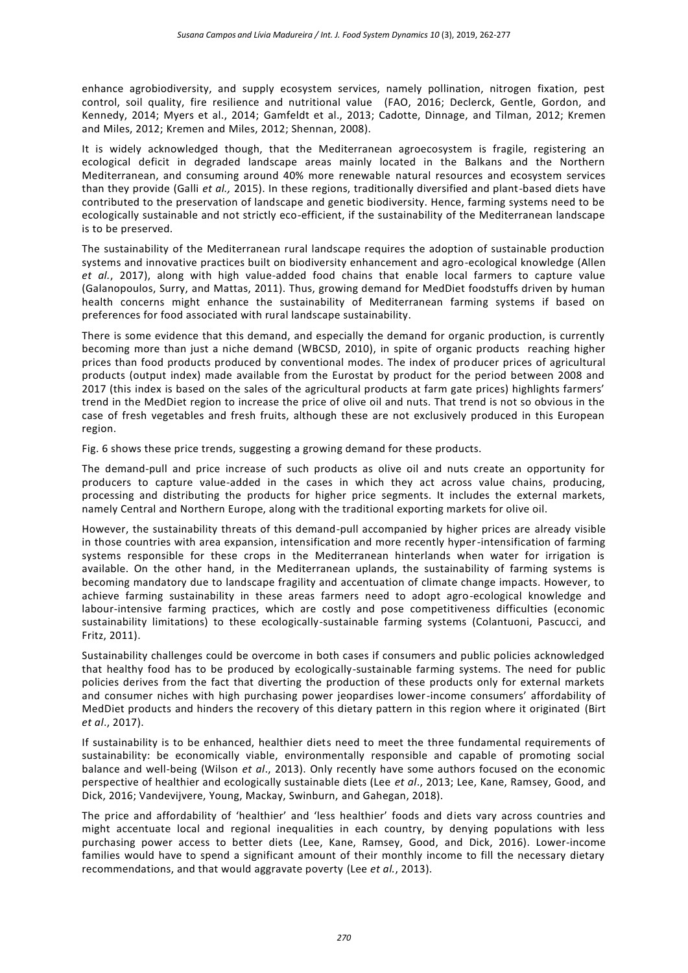enhance agrobiodiversity, and supply ecosystem services, namely pollination, nitrogen fixation, pest control, soil quality, fire resilience and nutritional value (FAO, 2016; Declerck, Gentle, Gordon, and Kennedy, 2014; Myers et al., 2014; Gamfeldt et al., 2013; Cadotte, Dinnage, and Tilman, 2012; Kremen and Miles, 2012; Kremen and Miles, 2012; Shennan, 2008).

It is widely acknowledged though, that the Mediterranean agroecosystem is fragile, registering an ecological deficit in degraded landscape areas mainly located in the Balkans and the Northern Mediterranean, and consuming around 40% more renewable natural resources and ecosystem services than they provide (Galli *et al.,* 2015). In these regions, traditionally diversified and plant-based diets have contributed to the preservation of landscape and genetic biodiversity. Hence, farming systems need to be ecologically sustainable and not strictly eco-efficient, if the sustainability of the Mediterranean landscape is to be preserved.

The sustainability of the Mediterranean rural landscape requires the adoption of sustainable production systems and innovative practices built on biodiversity enhancement and agro-ecological knowledge (Allen *et al.*, 2017), along with high value-added food chains that enable local farmers to capture value (Galanopoulos, Surry, and Mattas, 2011). Thus, growing demand for MedDiet foodstuffs driven by human health concerns might enhance the sustainability of Mediterranean farming systems if based on preferences for food associated with rural landscape sustainability.

There is some evidence that this demand, and especially the demand for organic production, is currently becoming more than just a niche demand (WBCSD, 2010), in spite of organic products reaching higher prices than food products produced by conventional modes. The index of producer prices of agricultural products (output index) made available from the Eurostat by product for the period between 2008 and 2017 (this index is based on the sales of the agricultural products at farm gate prices) highlights farmers' trend in the MedDiet region to increase the price of olive oil and nuts. That trend is not so obvious in the case of fresh vegetables and fresh fruits, although these are not exclusively produced in this European region.

Fig. 6 shows these price trends, suggesting a growing demand for these products.

The demand-pull and price increase of such products as olive oil and nuts create an opportunity for producers to capture value-added in the cases in which they act across value chains, producing, processing and distributing the products for higher price segments. It includes the external markets, namely Central and Northern Europe, along with the traditional exporting markets for olive oil.

However, the sustainability threats of this demand-pull accompanied by higher prices are already visible in those countries with area expansion, intensification and more recently hyper-intensification of farming systems responsible for these crops in the Mediterranean hinterlands when water for irrigation is available. On the other hand, in the Mediterranean uplands, the sustainability of farming systems is becoming mandatory due to landscape fragility and accentuation of climate change impacts. However, to achieve farming sustainability in these areas farmers need to adopt agro-ecological knowledge and labour-intensive farming practices, which are costly and pose competitiveness difficulties (economic sustainability limitations) to these ecologically-sustainable farming systems (Colantuoni, Pascucci, and Fritz, 2011).

Sustainability challenges could be overcome in both cases if consumers and public policies acknowledged that healthy food has to be produced by ecologically-sustainable farming systems. The need for public policies derives from the fact that diverting the production of these products only for external markets and consumer niches with high purchasing power jeopardises lower-income consumers' affordability of MedDiet products and hinders the recovery of this dietary pattern in this region where it originated (Birt *et al*., 2017).

If sustainability is to be enhanced, healthier diets need to meet the three fundamental requirements of sustainability: be economically viable, environmentally responsible and capable of promoting social balance and well-being (Wilson *et al*., 2013). Only recently have some authors focused on the economic perspective of healthier and ecologically sustainable diets (Lee *et al*., 2013; Lee, Kane, Ramsey, Good, and Dick, 2016; Vandevijvere, Young, Mackay, Swinburn, and Gahegan, 2018).

The price and affordability of 'healthier' and 'less healthier' foods and diets vary across countries and might accentuate local and regional inequalities in each country, by denying populations with less purchasing power access to better diets (Lee, Kane, Ramsey, Good, and Dick, 2016). Lower-income families would have to spend a significant amount of their monthly income to fill the necessary dietary recommendations, and that would aggravate poverty (Lee *et al.*, 2013).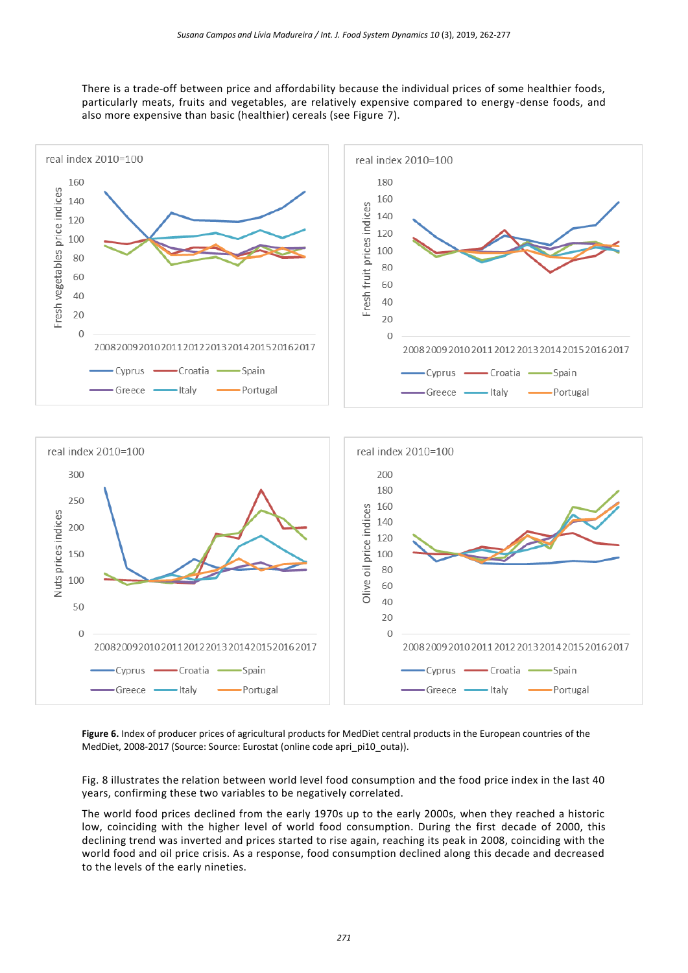There is a trade-off between price and affordability because the individual prices of some healthier foods, particularly meats, fruits and vegetables, are relatively expensive compared to energy -dense foods, and also more expensive than basic (healthier) cereals (see Figure 7).



**Figure 6.** Index of producer prices of agricultural products for MedDiet central products in the European countries of the MedDiet, 2008-2017 (Source: Source: Eurostat (online code apri\_pi10\_outa)).

Fig. 8 illustrates the relation between world level food consumption and the food price index in the last 40 years, confirming these two variables to be negatively correlated.

The world food prices declined from the early 1970s up to the early 2000s, when they reached a historic low, coinciding with the higher level of world food consumption. During the first decade of 2000, this declining trend was inverted and prices started to rise again, reaching its peak in 2008, coinciding with the world food and oil price crisis. As a response, food consumption declined along this decade and decreased to the levels of the early nineties.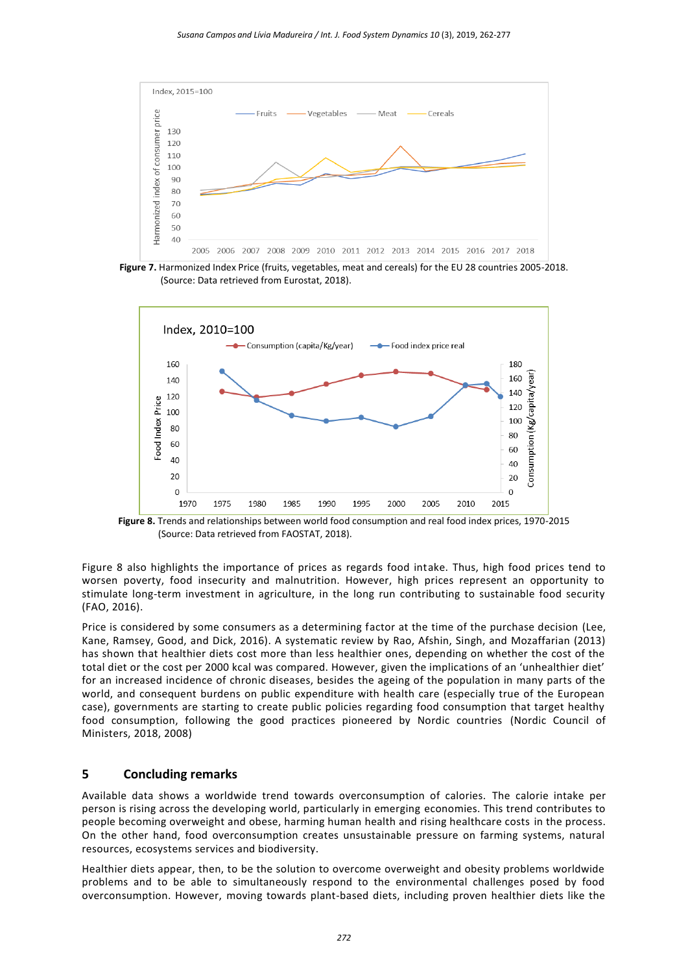

**Figure 7.** Harmonized Index Price (fruits, vegetables, meat and cereals) for the EU 28 countries 2005-2018. (Source: Data retrieved from Eurostat, 2018).



**Figure 8.** Trends and relationships between world food consumption and real food index prices, 1970-2015 (Source: Data retrieved from FAOSTAT, 2018).

Figure 8 also highlights the importance of prices as regards food intake. Thus, high food prices tend to worsen poverty, food insecurity and malnutrition. However, high prices represent an opportunity to stimulate long-term investment in agriculture, in the long run contributing to sustainable food security (FAO, 2016).

Price is considered by some consumers as a determining factor at the time of the purchase decision (Lee, Kane, Ramsey, Good, and Dick, 2016). A systematic review by Rao, Afshin, Singh, and Mozaffarian (2013) has shown that healthier diets cost more than less healthier ones, depending on whether the cost of the total diet or the cost per 2000 kcal was compared. However, given the implications of an 'unhealthier diet' for an increased incidence of chronic diseases, besides the ageing of the population in many parts of the world, and consequent burdens on public expenditure with health care (especially true of the European case), governments are starting to create public policies regarding food consumption that target healthy food consumption, following the good practices pioneered by Nordic countries (Nordic Council of Ministers, 2018, 2008)

## **5 Concluding remarks**

Available data shows a worldwide trend towards overconsumption of calories. The calorie intake per person is rising across the developing world, particularly in emerging economies. This trend contributes to people becoming overweight and obese, harming human health and rising healthcare costs in the process. On the other hand, food overconsumption creates unsustainable pressure on farming systems, natural resources, ecosystems services and biodiversity.

Healthier diets appear, then, to be the solution to overcome overweight and obesity problems worldwide problems and to be able to simultaneously respond to the environmental challenges posed by food overconsumption. However, moving towards plant-based diets, including proven healthier diets like the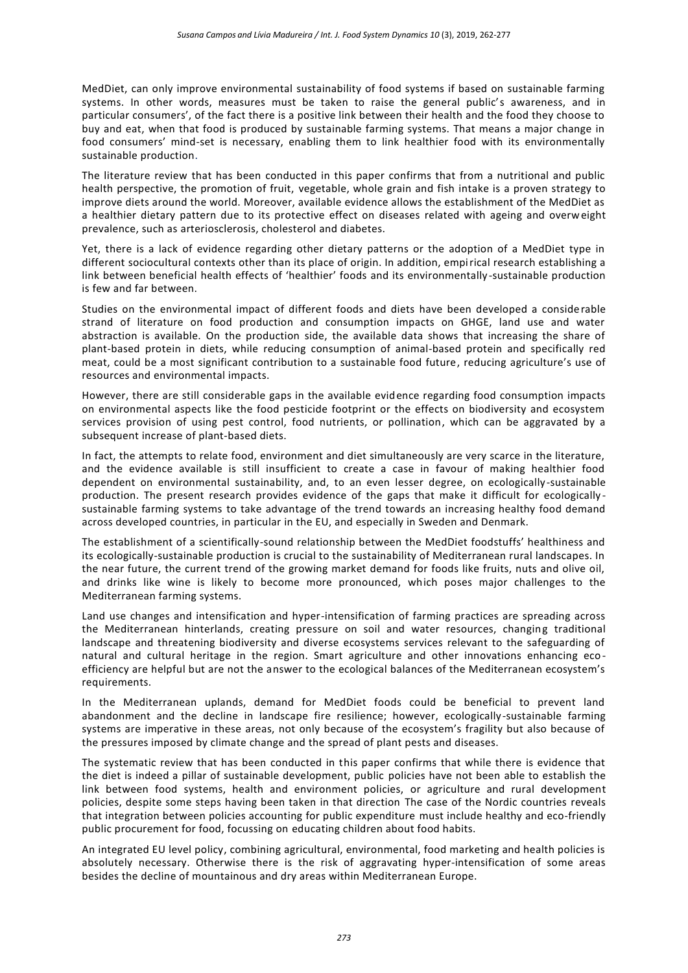MedDiet, can only improve environmental sustainability of food systems if based on sustainable farming systems. In other words, measures must be taken to raise the general public's awareness, and in particular consumers', of the fact there is a positive link between their health and the food they choose to buy and eat, when that food is produced by sustainable farming systems. That means a major change in food consumers' mind-set is necessary, enabling them to link healthier food with its environmentally sustainable production.

The literature review that has been conducted in this paper confirms that from a nutritional and public health perspective, the promotion of fruit, vegetable, whole grain and fish intake is a proven strategy to improve diets around the world. Moreover, available evidence allows the establishment of the MedDiet as a healthier dietary pattern due to its protective effect on diseases related with ageing and overweight prevalence, such as arteriosclerosis, cholesterol and diabetes.

Yet, there is a lack of evidence regarding other dietary patterns or the adoption of a MedDiet type in different sociocultural contexts other than its place of origin. In addition, empirical research establishing a link between beneficial health effects of 'healthier' foods and its environmentally -sustainable production is few and far between.

Studies on the environmental impact of different foods and diets have been developed a considerable strand of literature on food production and consumption impacts on GHGE, land use and water abstraction is available. On the production side, the available data shows that increasing the share of plant-based protein in diets, while reducing consumption of animal-based protein and specifically red meat, could be a most significant contribution to a sustainable food future, reducing agriculture's use of resources and environmental impacts.

However, there are still considerable gaps in the available evidence regarding food consumption impacts on environmental aspects like the food pesticide footprint or the effects on biodiversity and ecosystem services provision of using pest control, food nutrients, or pollination, which can be aggravated by a subsequent increase of plant-based diets.

In fact, the attempts to relate food, environment and diet simultaneously are very scarce in the literature, and the evidence available is still insufficient to create a case in favour of making healthier food dependent on environmental sustainability, and, to an even lesser degree, on ecologically -sustainable production. The present research provides evidence of the gaps that make it difficult for ecologically sustainable farming systems to take advantage of the trend towards an increasing healthy food demand across developed countries, in particular in the EU, and especially in Sweden and Denmark.

The establishment of a scientifically-sound relationship between the MedDiet foodstuffs' healthiness and its ecologically-sustainable production is crucial to the sustainability of Mediterranean rural landscapes. In the near future, the current trend of the growing market demand for foods like fruits, nuts and olive oil, and drinks like wine is likely to become more pronounced, which poses major challenges to the Mediterranean farming systems.

Land use changes and intensification and hyper-intensification of farming practices are spreading across the Mediterranean hinterlands, creating pressure on soil and water resources, changing traditional landscape and threatening biodiversity and diverse ecosystems services relevant to the safeguarding of natural and cultural heritage in the region. Smart agriculture and other innovations enhancing eco efficiency are helpful but are not the answer to the ecological balances of the Mediterranean ecosystem's requirements.

In the Mediterranean uplands, demand for MedDiet foods could be beneficial to prevent land abandonment and the decline in landscape fire resilience; however, ecologically-sustainable farming systems are imperative in these areas, not only because of the ecosystem's fragility but also because of the pressures imposed by climate change and the spread of plant pests and diseases.

The systematic review that has been conducted in this paper confirms that while there is evidence that the diet is indeed a pillar of sustainable development, public policies have not been able to establish the link between food systems, health and environment policies, or agriculture and rural development policies, despite some steps having been taken in that direction The case of the Nordic countries reveals that integration between policies accounting for public expenditure must include healthy and eco-friendly public procurement for food, focussing on educating children about food habits.

An integrated EU level policy, combining agricultural, environmental, food marketing and health policies is absolutely necessary. Otherwise there is the risk of aggravating hyper-intensification of some areas besides the decline of mountainous and dry areas within Mediterranean Europe.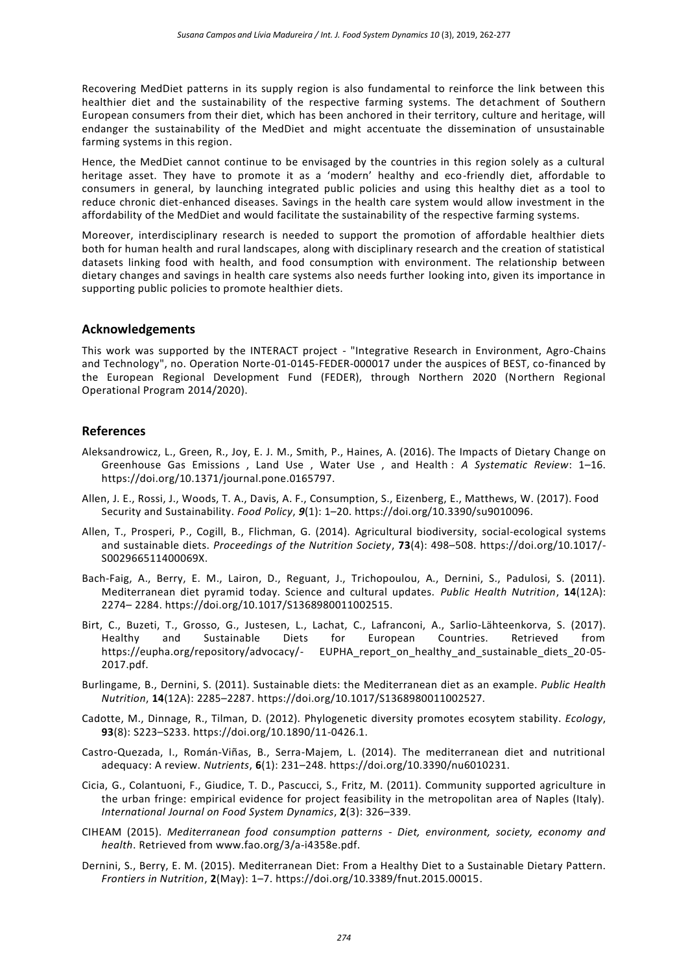Recovering MedDiet patterns in its supply region is also fundamental to reinforce the link between this healthier diet and the sustainability of the respective farming systems. The detachment of Southern European consumers from their diet, which has been anchored in their territory, culture and heritage, will endanger the sustainability of the MedDiet and might accentuate the dissemination of unsustainable farming systems in this region.

Hence, the MedDiet cannot continue to be envisaged by the countries in this region solely as a cultural heritage asset. They have to promote it as a 'modern' healthy and eco-friendly diet, affordable to consumers in general, by launching integrated public policies and using this healthy diet as a tool to reduce chronic diet-enhanced diseases. Savings in the health care system would allow investment in the affordability of the MedDiet and would facilitate the sustainability of the respective farming systems.

Moreover, interdisciplinary research is needed to support the promotion of affordable healthier diets both for human health and rural landscapes, along with disciplinary research and the creation of statistical datasets linking food with health, and food consumption with environment. The relationship between dietary changes and savings in health care systems also needs further looking into, given its importance in supporting public policies to promote healthier diets.

### **Acknowledgements**

This work was supported by the INTERACT project - "Integrative Research in Environment, Agro-Chains and Technology", no. Operation Norte-01-0145-FEDER-000017 under the auspices of BEST, co-financed by the European Regional Development Fund (FEDER), through Northern 2020 (Northern Regional Operational Program 2014/2020).

### **References**

- Aleksandrowicz, L., Green, R., Joy, E. J. M., Smith, P., Haines, A. (2016). The Impacts of Dietary Change on Greenhouse Gas Emissions , Land Use , Water Use , and Health : *A Systematic Review*: 1–16. https://doi.org/10.1371/journal.pone.0165797.
- Allen, J. E., Rossi, J., Woods, T. A., Davis, A. F., Consumption, S., Eizenberg, E., Matthews, W. (2017). Food Security and Sustainability. *Food Policy*, *9*(1): 1–20. https://doi.org/10.3390/su9010096.
- Allen, T., Prosperi, P., Cogill, B., Flichman, G. (2014). Agricultural biodiversity, social-ecological systems and sustainable diets. *Proceedings of the Nutrition Society*, **73**(4): 498–508. https://doi.org/10.1017/- S002966511400069X.
- Bach-Faig, A., Berry, E. M., Lairon, D., Reguant, J., Trichopoulou, A., Dernini, S., Padulosi, S. (2011). Mediterranean diet pyramid today. Science and cultural updates. *Public Health Nutrition*, **14**(12A): 2274– 2284. https://doi.org/10.1017/S1368980011002515.
- Birt, C., Buzeti, T., Grosso, G., Justesen, L., Lachat, C., Lafranconi, A., Sarlio-Lähteenkorva, S. (2017). Healthy and Sustainable Diets for European Countries. Retrieved from https://eupha.org/repository/advocacy/- EUPHA report on healthy and sustainable diets 20-05-2017.pdf.
- Burlingame, B., Dernini, S. (2011). Sustainable diets: the Mediterranean diet as an example. *Public Health Nutrition*, **14**(12A): 2285–2287. https://doi.org/10.1017/S1368980011002527.
- Cadotte, M., Dinnage, R., Tilman, D. (2012). Phylogenetic diversity promotes ecosytem stability. *Ecology*, **93**(8): S223–S233. https://doi.org/10.1890/11-0426.1.
- Castro-Quezada, I., Román-Viñas, B., Serra-Majem, L. (2014). The mediterranean diet and nutritional adequacy: A review. *Nutrients*, **6**(1): 231–248. https://doi.org/10.3390/nu6010231.
- Cicia, G., Colantuoni, F., Giudice, T. D., Pascucci, S., Fritz, M. (2011). Community supported agriculture in the urban fringe: empirical evidence for project feasibility in the metropolitan area of Naples (Italy). *International Journal on Food System Dynamics*, **2**(3): 326–339.
- CIHEAM (2015). *Mediterranean food consumption patterns - Diet, environment, society, economy and health*. Retrieved fro[m www.fao.org/3/a-i4358e.pdf.](http://www.fao.org/3/a-i4358e.pdf)
- Dernini, S., Berry, E. M. (2015). Mediterranean Diet: From a Healthy Diet to a Sustainable Dietary Pattern. *Frontiers in Nutrition*, **2**(May): 1–7. https://doi.org/10.3389/fnut.2015.00015.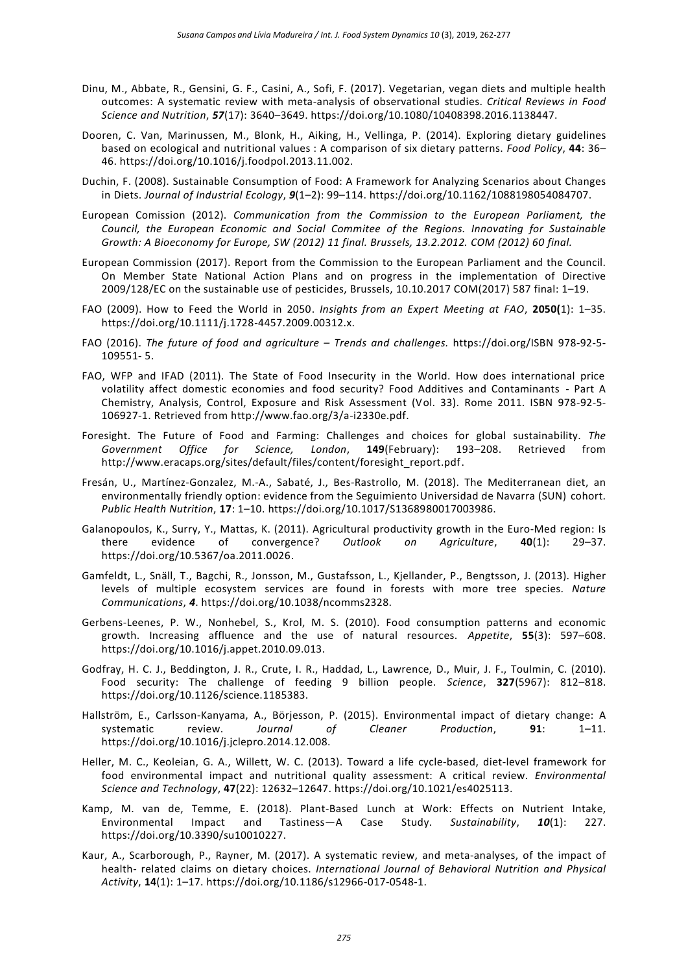- Dinu, M., Abbate, R., Gensini, G. F., Casini, A., Sofi, F. (2017). Vegetarian, vegan diets and multiple health outcomes: A systematic review with meta-analysis of observational studies. *Critical Reviews in Food Science and Nutrition*, *57*(17): 3640–3649. https://doi.org/10.1080/10408398.2016.1138447.
- Dooren, C. Van, Marinussen, M., Blonk, H., Aiking, H., Vellinga, P. (2014). Exploring dietary guidelines based on ecological and nutritional values : A comparison of six dietary patterns. *Food Policy*, **44**: 36– 46. https://doi.org/10.1016/j.foodpol.2013.11.002.
- Duchin, F. (2008). Sustainable Consumption of Food: A Framework for Analyzing Scenarios about Changes in Diets. *Journal of Industrial Ecology*, *9*(1–2): 99–114. https://doi.org/10.1162/1088198054084707.
- European Comission (2012). *Communication from the Commission to the European Parliament, the Council, the European Economic and Social Commitee of the Regions. Innovating for Sustainable Growth: A Bioeconomy for Europe, SW (2012) 11 final. Brussels, 13.2.2012. COM (2012) 60 final.*
- European Commission (2017). Report from the Commission to the European Parliament and the Council. On Member State National Action Plans and on progress in the implementation of Directive 2009/128/EC on the sustainable use of pesticides, Brussels, 10.10.2017 COM(2017) 587 final: 1–19.
- FAO (2009). How to Feed the World in 2050. *Insights from an Expert Meeting at FAO*, **2050(**1): 1–35. https://doi.org/10.1111/j.1728-4457.2009.00312.x.
- FAO (2016). *The future of food and agriculture – Trends and challenges.* https://doi.org/ISBN 978-92-5- 109551- 5.
- FAO, WFP and IFAD (2011). The State of Food Insecurity in the World. How does international price volatility affect domestic economies and food security? Food Additives and Contaminants - Part A Chemistry, Analysis, Control, Exposure and Risk Assessment (Vol. 33). Rome 2011. ISBN 978-92-5- 106927-1. Retrieved from [http://www.fao.org/3/a-i2330e.pdf.](http://www.fao.org/3/a-i2330e.pdf)
- Foresight. The Future of Food and Farming: Challenges and choices for global sustainability. *The Government Office for Science, London*, **149**(February): 193–208. Retrieved from [http://www.eracaps.org/sites/default/files/content/foresight\\_report.pdf.](http://www.eracaps.org/sites/default/files/content/foresight_report.pdf)
- Fresán, U., Martínez-Gonzalez, M.-A., Sabaté, J., Bes-Rastrollo, M. (2018). The Mediterranean diet, an environmentally friendly option: evidence from the Seguimiento Universidad de Navarra (SUN) cohort. *Public Health Nutrition*, **17**: 1–10. https://doi.org/10.1017/S1368980017003986.
- Galanopoulos, K., Surry, Y., Mattas, K. (2011). Agricultural productivity growth in the Euro-Med region: Is<br>there evidence of convergence? Outlook on Agriculture. **40**(1): 29–37. therme convergence? Outlook on https://doi.org/10.5367/oa.2011.0026.
- Gamfeldt, L., Snäll, T., Bagchi, R., Jonsson, M., Gustafsson, L., Kjellander, P., Bengtsson, J. (2013). Higher levels of multiple ecosystem services are found in forests with more tree species. *Nature Communications*, *4*. https://doi.org/10.1038/ncomms2328.
- Gerbens-Leenes, P. W., Nonhebel, S., Krol, M. S. (2010). Food consumption patterns and economic growth. Increasing affluence and the use of natural resources. *Appetite*, **55**(3): 597–608. https://doi.org/10.1016/j.appet.2010.09.013.
- Godfray, H. C. J., Beddington, J. R., Crute, I. R., Haddad, L., Lawrence, D., Muir, J. F., Toulmin, C. (2010). Food security: The challenge of feeding 9 billion people. *Science*, **327**(5967): 812–818. https://doi.org/10.1126/science.1185383.
- Hallström, E., Carlsson-Kanyama, A., Börjesson, P. (2015). Environmental impact of dietary change: A systematic review. *Journal of Cleaner Production*, **91**: 1–11. https://doi.org/10.1016/j.jclepro.2014.12.008.
- Heller, M. C., Keoleian, G. A., Willett, W. C. (2013). Toward a life cycle-based, diet-level framework for food environmental impact and nutritional quality assessment: A critical review. *Environmental Science and Technology*, **47**(22): 12632–12647. https://doi.org/10.1021/es4025113.
- Kamp, M. van de, Temme, E. (2018). Plant-Based Lunch at Work: Effects on Nutrient Intake, Environmental Impact and Tastiness—A Case Study. *Sustainability*, *10*(1): 227. https://doi.org/10.3390/su10010227.
- Kaur, A., Scarborough, P., Rayner, M. (2017). A systematic review, and meta-analyses, of the impact of health- related claims on dietary choices. *International Journal of Behavioral Nutrition and Physical Activity*, **14**(1): 1–17. https://doi.org/10.1186/s12966-017-0548-1.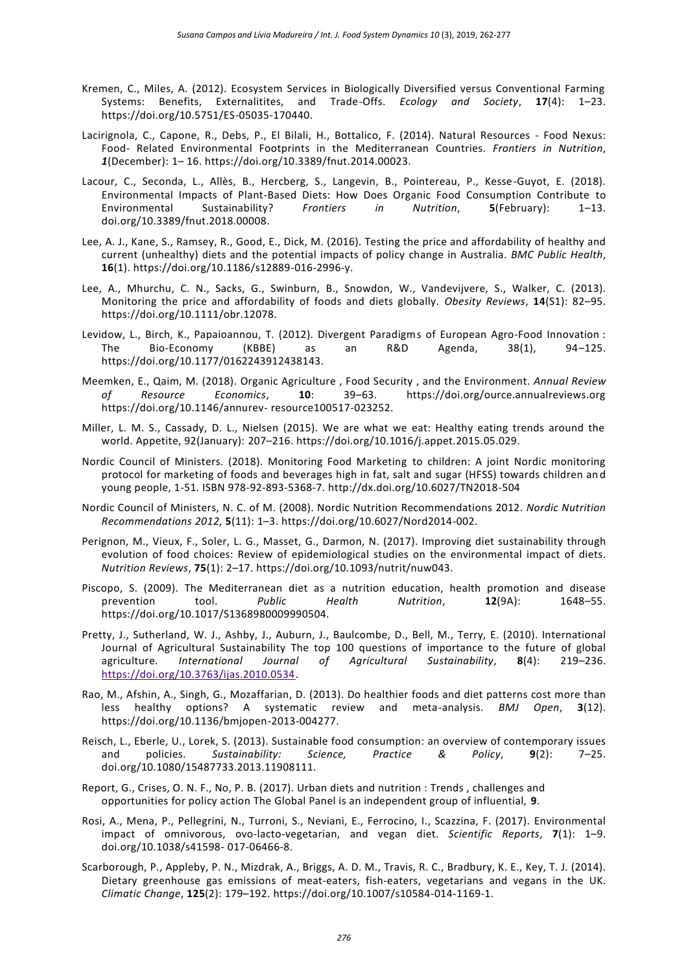- Kremen, C., Miles, A. (2012). Ecosystem Services in Biologically Diversified versus Conventional Farming Systems: Benefits, Externalitites, and Trade-Offs. *Ecology and Society*, **17**(4): 1–23. https://doi.org/10.5751/ES-05035-170440.
- Lacirignola, C., Capone, R., Debs, P., El Bilali, H., Bottalico, F. (2014). Natural Resources Food Nexus: Food- Related Environmental Footprints in the Mediterranean Countries. *Frontiers in Nutrition*, *1*(December): 1– 16. https://doi.org/10.3389/fnut.2014.00023.
- Lacour, C., Seconda, L., Allès, B., Hercberg, S., Langevin, B., Pointereau, P., Kesse-Guyot, E. (2018). Environmental Impacts of Plant-Based Diets: How Does Organic Food Consumption Contribute to<br>Environmental Sustainability? Frontiers in Nutrition, 5(February): 1–13. Environmental Sustainability? *Frontiers in Nutrition*, **5**(February): 1–13. doi.org/10.3389/fnut.2018.00008.
- Lee, A. J., Kane, S., Ramsey, R., Good, E., Dick, M. (2016). Testing the price and affordability of healthy and current (unhealthy) diets and the potential impacts of policy change in Australia. *BMC Public Health*, **16**(1). https://doi.org/10.1186/s12889-016-2996-y.
- Lee, A., Mhurchu, C. N., Sacks, G., Swinburn, B., Snowdon, W., Vandevijvere, S., Walker, C. (2013). Monitoring the price and affordability of foods and diets globally. *Obesity Reviews*, **14**(S1): 82–95. https://doi.org/10.1111/obr.12078.
- Levidow, L., Birch, K., Papaioannou, T. (2012). Divergent Paradigms of European Agro-Food Innovation :<br>
The Bio-Economy (KBBE) as an R&D Agenda, 38(1), 94–125. The Bio-Economy (KBBE) as an R&D Agenda, 38(1), 94–125. https://doi.org/10.1177/0162243912438143.
- Meemken, E., Qaim, M. (2018). Organic Agriculture , Food Security , and the Environment. *Annual Review of Resource Economics*, **10**: 39–63. https://doi.org/ource.annualreviews.org https://doi.org/10.1146/annurev- resource100517-023252.
- Miller, L. M. S., Cassady, D. L., Nielsen (2015). We are what we eat: Healthy eating trends around the world. Appetite, 92(January): 207–216. https://doi.org/10.1016/j.appet.2015.05.029.
- Nordic Council of Ministers. (2018). Monitoring Food Marketing to children: A joint Nordic monitoring protocol for marketing of foods and beverages high in fat, salt and sugar (HFSS) towards children an d young people, 1-51. ISBN 978-92-893-5368-7.<http://dx.doi.org/10.6027/TN2018-504>
- Nordic Council of Ministers, N. C. of M. (2008). Nordic Nutrition Recommendations 2012. *Nordic Nutrition Recommendations 2012*, **5**(11): 1–3. https://doi.org/10.6027/Nord2014-002.
- Perignon, M., Vieux, F., Soler, L. G., Masset, G., Darmon, N. (2017). Improving diet sustainability through evolution of food choices: Review of epidemiological studies on the environmental impact of diets. *Nutrition Reviews*, **75**(1): 2–17. https://doi.org/10.1093/nutrit/nuw043.
- Piscopo, S. (2009). The Mediterranean diet as a nutrition education, health promotion and disease<br>prevention tool. Public Health Nutrition. 12(9A): 1648–55. prevention tool. *Public Health Nutrition*, **12**(9A): 1648–55. https://doi.org/10.1017/S1368980009990504.
- Pretty, J., Sutherland, W. J., Ashby, J., Auburn, J., Baulcombe, D., Bell, M., Terry, E. (2010). International Journal of Agricultural Sustainability The top 100 questions of importance to the future of global agriculture. *International Journal of Agricultural Sustainability*, **8**(4): 219–236. [https://doi.org/10.3763/ijas.2010.0534.](https://doi.org/10.3763/ijas.2010.0534)
- Rao, M., Afshin, A., Singh, G., Mozaffarian, D. (2013). Do healthier foods and diet patterns cost more than less healthy options? A systematic review and meta-analysis. *BMJ Open*, **3**(12). https://doi.org/10.1136/bmjopen-2013-004277.
- Reisch, L., Eberle, U., Lorek, S. (2013). Sustainable food consumption: an overview of contemporary issues and policies. *Sustainability: Science, Practice & Policy*, **9**(2): 7–25. doi.org/10.1080/15487733.2013.11908111.
- Report, G., Crises, O. N. F., No, P. B. (2017). Urban diets and nutrition : Trends , challenges and opportunities for policy action The Global Panel is an independent group of influential, **9**.
- Rosi, A., Mena, P., Pellegrini, N., Turroni, S., Neviani, E., Ferrocino, I., Scazzina, F. (2017). Environmental impact of omnivorous, ovo-lacto-vegetarian, and vegan diet. *Scientific Reports*, **7**(1): 1–9. doi.org/10.1038/s41598- 017-06466-8.
- Scarborough, P., Appleby, P. N., Mizdrak, A., Briggs, A. D. M., Travis, R. C., Bradbury, K. E., Key, T. J. (2014). Dietary greenhouse gas emissions of meat-eaters, fish-eaters, vegetarians and vegans in the UK. *Climatic Change*, **125**(2): 179–192. https://doi.org/10.1007/s10584-014-1169-1.